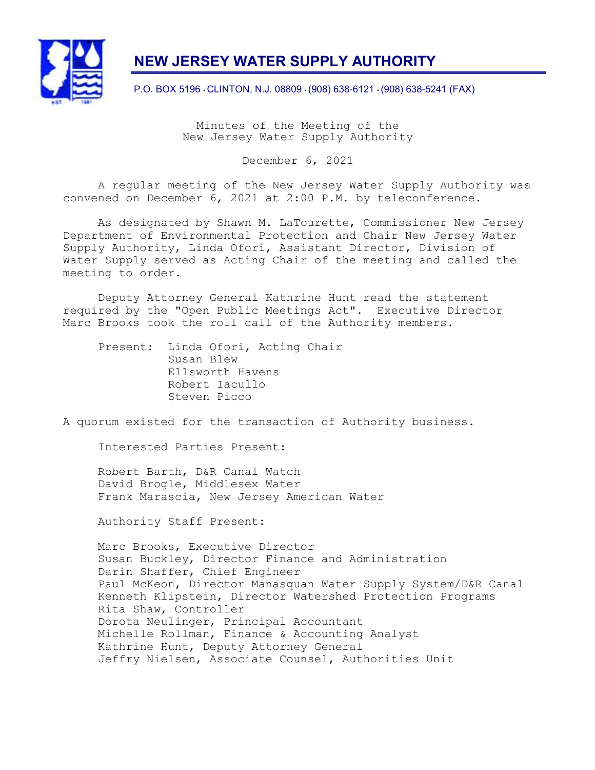

# NEW JERSEY WATER SUPPLY AUTHORITY

P.O. BOX 5196 • CLINTON, N.J. 08809 • (908) 638-6121 • (908) 638-5241 (FAX)

Minutes of the Meeting of the New Jersey Water Supply Authority

December 6, 2021

A regular meeting of the New Jersey Water Supply Authority was convened on December 6, 2021 at 2:00 P.M. by teleconference.

As designated by Shawn M. LaTourette, Commissioner New Jersey Department of Environmental Protection and Chair New Jersey Water Supply Authority, Linda Ofori, Assistant Director, Division of Water Supply served as Acting Chair of the meeting and called the meeting to order.

Deputy Attorney General Kathrine Hunt read the statement required by the "Open Public Meetings Act". Executive Director Marc Brooks took the roll call of the Authority members.

 Present: Linda Ofori, Acting Chair Susan Blew Ellsworth Havens Robert Iacullo Steven Picco

A quorum existed for the transaction of Authority business.

Interested Parties Present:

Robert Barth, D&R Canal Watch David Brogle, Middlesex Water Frank Marascia, New Jersey American Water

Authority Staff Present:

Marc Brooks, Executive Director Susan Buckley, Director Finance and Administration Darin Shaffer, Chief Engineer Paul McKeon, Director Manasquan Water Supply System/D&R Canal Kenneth Klipstein, Director Watershed Protection Programs Rita Shaw, Controller Dorota Neulinger, Principal Accountant Michelle Rollman, Finance & Accounting Analyst Kathrine Hunt, Deputy Attorney General Jeffry Nielsen, Associate Counsel, Authorities Unit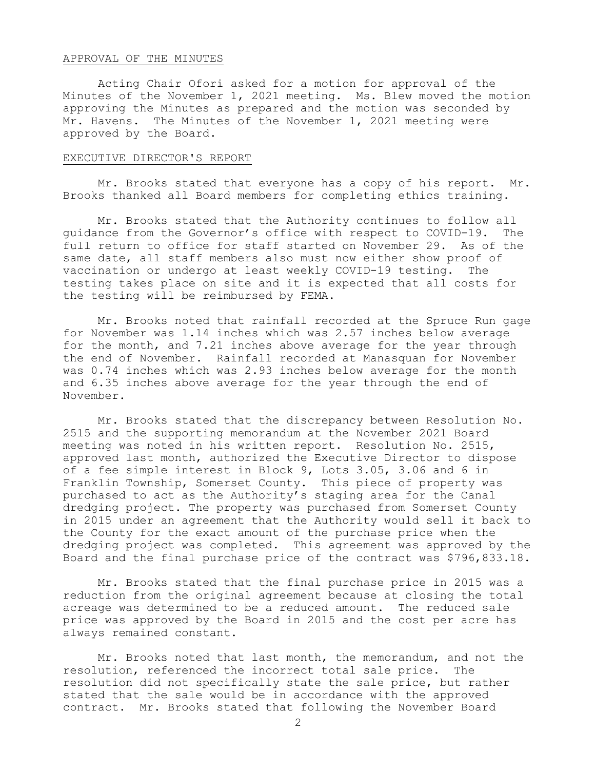## APPROVAL OF THE MINUTES

Acting Chair Ofori asked for a motion for approval of the Minutes of the November 1, 2021 meeting. Ms. Blew moved the motion approving the Minutes as prepared and the motion was seconded by Mr. Havens. The Minutes of the November 1, 2021 meeting were approved by the Board.

#### EXECUTIVE DIRECTOR'S REPORT

Mr. Brooks stated that everyone has a copy of his report. Mr. Brooks thanked all Board members for completing ethics training.

Mr. Brooks stated that the Authority continues to follow all guidance from the Governor's office with respect to COVID-19. The full return to office for staff started on November 29. As of the same date, all staff members also must now either show proof of vaccination or undergo at least weekly COVID-19 testing. The testing takes place on site and it is expected that all costs for the testing will be reimbursed by FEMA.

Mr. Brooks noted that rainfall recorded at the Spruce Run gage for November was 1.14 inches which was 2.57 inches below average for the month, and 7.21 inches above average for the year through the end of November. Rainfall recorded at Manasquan for November was 0.74 inches which was 2.93 inches below average for the month and 6.35 inches above average for the year through the end of November.

Mr. Brooks stated that the discrepancy between Resolution No. 2515 and the supporting memorandum at the November 2021 Board meeting was noted in his written report. Resolution No. 2515, approved last month, authorized the Executive Director to dispose of a fee simple interest in Block 9, Lots 3.05, 3.06 and 6 in Franklin Township, Somerset County. This piece of property was purchased to act as the Authority's staging area for the Canal dredging project. The property was purchased from Somerset County in 2015 under an agreement that the Authority would sell it back to the County for the exact amount of the purchase price when the dredging project was completed. This agreement was approved by the Board and the final purchase price of the contract was \$796,833.18.

Mr. Brooks stated that the final purchase price in 2015 was a reduction from the original agreement because at closing the total acreage was determined to be a reduced amount. The reduced sale price was approved by the Board in 2015 and the cost per acre has always remained constant.

Mr. Brooks noted that last month, the memorandum, and not the resolution, referenced the incorrect total sale price. The resolution did not specifically state the sale price, but rather stated that the sale would be in accordance with the approved contract. Mr. Brooks stated that following the November Board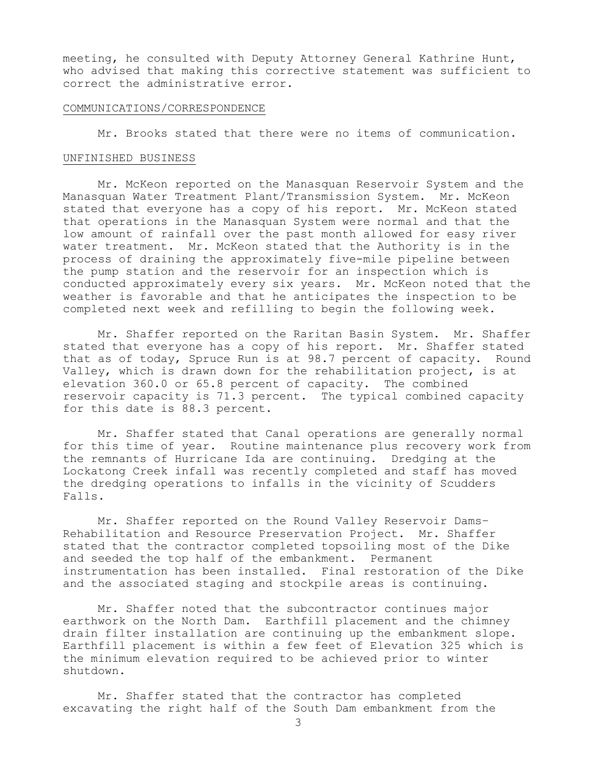meeting, he consulted with Deputy Attorney General Kathrine Hunt, who advised that making this corrective statement was sufficient to correct the administrative error.

#### COMMUNICATIONS/CORRESPONDENCE

Mr. Brooks stated that there were no items of communication.

#### UNFINISHED BUSINESS

Mr. McKeon reported on the Manasquan Reservoir System and the Manasquan Water Treatment Plant/Transmission System. Mr. McKeon stated that everyone has a copy of his report. Mr. McKeon stated that operations in the Manasquan System were normal and that the low amount of rainfall over the past month allowed for easy river water treatment. Mr. McKeon stated that the Authority is in the process of draining the approximately five-mile pipeline between the pump station and the reservoir for an inspection which is conducted approximately every six years. Mr. McKeon noted that the weather is favorable and that he anticipates the inspection to be completed next week and refilling to begin the following week.

Mr. Shaffer reported on the Raritan Basin System. Mr. Shaffer stated that everyone has a copy of his report. Mr. Shaffer stated that as of today, Spruce Run is at 98.7 percent of capacity. Round Valley, which is drawn down for the rehabilitation project, is at elevation 360.0 or 65.8 percent of capacity. The combined reservoir capacity is 71.3 percent. The typical combined capacity for this date is 88.3 percent.

Mr. Shaffer stated that Canal operations are generally normal for this time of year. Routine maintenance plus recovery work from the remnants of Hurricane Ida are continuing. Dredging at the Lockatong Creek infall was recently completed and staff has moved the dredging operations to infalls in the vicinity of Scudders Falls.

Mr. Shaffer reported on the Round Valley Reservoir Dams– Rehabilitation and Resource Preservation Project. Mr. Shaffer stated that the contractor completed topsoiling most of the Dike and seeded the top half of the embankment. Permanent instrumentation has been installed. Final restoration of the Dike and the associated staging and stockpile areas is continuing.

Mr. Shaffer noted that the subcontractor continues major earthwork on the North Dam. Earthfill placement and the chimney drain filter installation are continuing up the embankment slope. Earthfill placement is within a few feet of Elevation 325 which is the minimum elevation required to be achieved prior to winter shutdown.

Mr. Shaffer stated that the contractor has completed excavating the right half of the South Dam embankment from the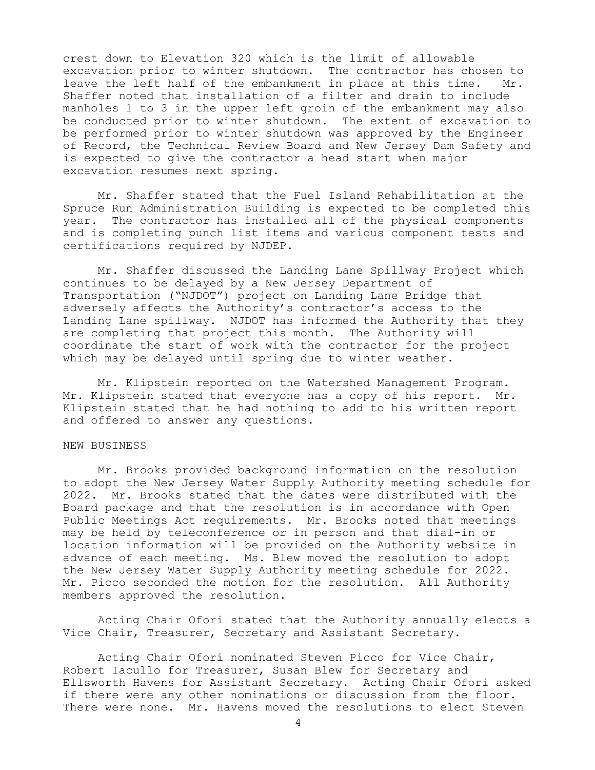crest down to Elevation 320 which is the limit of allowable excavation prior to winter shutdown. The contractor has chosen to leave the left half of the embankment in place at this time. Mr. Shaffer noted that installation of a filter and drain to include manholes 1 to 3 in the upper left groin of the embankment may also be conducted prior to winter shutdown. The extent of excavation to be performed prior to winter shutdown was approved by the Engineer of Record, the Technical Review Board and New Jersey Dam Safety and is expected to give the contractor a head start when major excavation resumes next spring.

Mr. Shaffer stated that the Fuel Island Rehabilitation at the Spruce Run Administration Building is expected to be completed this year. The contractor has installed all of the physical components and is completing punch list items and various component tests and certifications required by NJDEP.

Mr. Shaffer discussed the Landing Lane Spillway Project which continues to be delayed by a New Jersey Department of Transportation ("NJDOT") project on Landing Lane Bridge that adversely affects the Authority's contractor's access to the Landing Lane spillway. NJDOT has informed the Authority that they are completing that project this month. The Authority will coordinate the start of work with the contractor for the project which may be delayed until spring due to winter weather.

Mr. Klipstein reported on the Watershed Management Program. Mr. Klipstein stated that everyone has a copy of his report. Mr. Klipstein stated that he had nothing to add to his written report and offered to answer any questions.

#### NEW BUSINESS

Mr. Brooks provided background information on the resolution to adopt the New Jersey Water Supply Authority meeting schedule for 2022. Mr. Brooks stated that the dates were distributed with the Board package and that the resolution is in accordance with Open Public Meetings Act requirements. Mr. Brooks noted that meetings may be held by teleconference or in person and that dial-in or location information will be provided on the Authority website in advance of each meeting. Ms. Blew moved the resolution to adopt the New Jersey Water Supply Authority meeting schedule for 2022. Mr. Picco seconded the motion for the resolution. All Authority members approved the resolution.

Acting Chair Ofori stated that the Authority annually elects a Vice Chair, Treasurer, Secretary and Assistant Secretary.

Acting Chair Ofori nominated Steven Picco for Vice Chair, Robert Iacullo for Treasurer, Susan Blew for Secretary and Ellsworth Havens for Assistant Secretary. Acting Chair Ofori asked if there were any other nominations or discussion from the floor. There were none. Mr. Havens moved the resolutions to elect Steven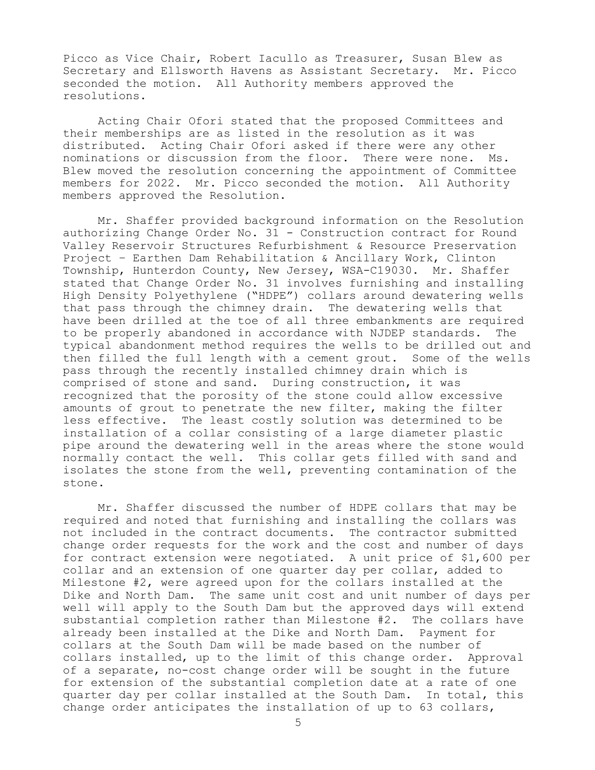Picco as Vice Chair, Robert Iacullo as Treasurer, Susan Blew as Secretary and Ellsworth Havens as Assistant Secretary. Mr. Picco seconded the motion. All Authority members approved the resolutions.

Acting Chair Ofori stated that the proposed Committees and their memberships are as listed in the resolution as it was distributed. Acting Chair Ofori asked if there were any other nominations or discussion from the floor. There were none. Ms. Blew moved the resolution concerning the appointment of Committee members for 2022. Mr. Picco seconded the motion. All Authority members approved the Resolution.

Mr. Shaffer provided background information on the Resolution authorizing Change Order No. 31 - Construction contract for Round Valley Reservoir Structures Refurbishment & Resource Preservation Project – Earthen Dam Rehabilitation & Ancillary Work, Clinton Township, Hunterdon County, New Jersey, WSA-C19030. Mr. Shaffer stated that Change Order No. 31 involves furnishing and installing High Density Polyethylene ("HDPE") collars around dewatering wells that pass through the chimney drain. The dewatering wells that have been drilled at the toe of all three embankments are required to be properly abandoned in accordance with NJDEP standards. The typical abandonment method requires the wells to be drilled out and then filled the full length with a cement grout. Some of the wells pass through the recently installed chimney drain which is comprised of stone and sand. During construction, it was recognized that the porosity of the stone could allow excessive amounts of grout to penetrate the new filter, making the filter less effective. The least costly solution was determined to be installation of a collar consisting of a large diameter plastic pipe around the dewatering well in the areas where the stone would normally contact the well. This collar gets filled with sand and isolates the stone from the well, preventing contamination of the stone.

Mr. Shaffer discussed the number of HDPE collars that may be required and noted that furnishing and installing the collars was not included in the contract documents. The contractor submitted change order requests for the work and the cost and number of days for contract extension were negotiated. A unit price of \$1,600 per collar and an extension of one quarter day per collar, added to Milestone #2, were agreed upon for the collars installed at the Dike and North Dam. The same unit cost and unit number of days per well will apply to the South Dam but the approved days will extend substantial completion rather than Milestone #2. The collars have already been installed at the Dike and North Dam. Payment for collars at the South Dam will be made based on the number of collars installed, up to the limit of this change order. Approval of a separate, no-cost change order will be sought in the future for extension of the substantial completion date at a rate of one quarter day per collar installed at the South Dam. In total, this change order anticipates the installation of up to 63 collars,